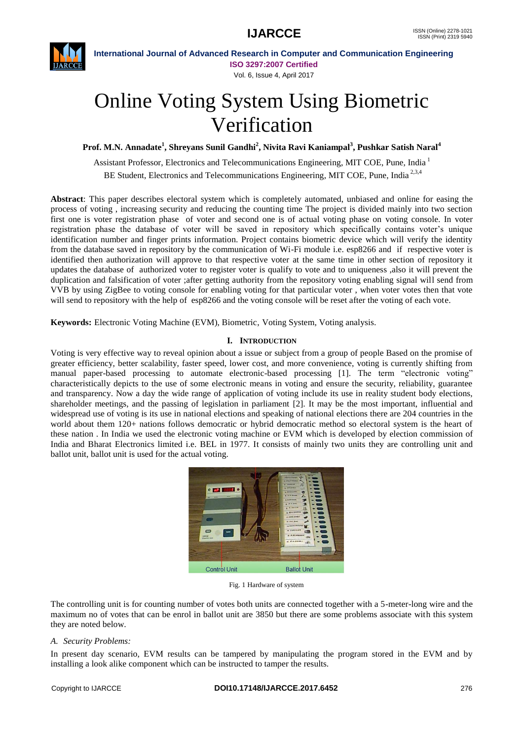

Vol. 6, Issue 4, April 2017

# Online Voting System Using Biometric Verification

**Prof. M.N. Annadate<sup>1</sup> , Shreyans Sunil Gandhi<sup>2</sup> , Nivita Ravi Kaniampal<sup>3</sup> , Pushkar Satish Naral<sup>4</sup>**

Assistant Professor, Electronics and Telecommunications Engineering, MIT COE, Pune, India <sup>1</sup> BE Student, Electronics and Telecommunications Engineering, MIT COE, Pune, India<sup>2,3,4</sup>

**Abstract**: This paper describes electoral system which is completely automated, unbiased and online for easing the process of voting , increasing security and reducing the counting time The project is divided mainly into two section first one is voter registration phase of voter and second one is of actual voting phase on voting console. In voter registration phase the database of voter will be saved in repository which specifically contains voter's unique identification number and finger prints information. Project contains biometric device which will verify the identity from the database saved in repository by the communication of Wi-Fi module i.e. esp8266 and if respective voter is identified then authorization will approve to that respective voter at the same time in other section of repository it updates the database of authorized voter to register voter is qualify to vote and to uniqueness ,also it will prevent the duplication and falsification of voter ;after getting authority from the repository voting enabling signal will send from VVB by using ZigBee to voting console for enabling voting for that particular voter , when voter votes then that vote will send to repository with the help of esp8266 and the voting console will be reset after the voting of each vote.

**Keywords:** Electronic Voting Machine (EVM), Biometric, Voting System, Voting analysis.

# **I. INTRODUCTION**

Voting is very effective way to reveal opinion about a issue or subject from a group of people Based on the promise of greater efficiency, better scalability, faster speed, lower cost, and more convenience, voting is currently shifting from manual paper-based processing to automate electronic-based processing [1]. The term "electronic voting" characteristically depicts to the use of some electronic means in voting and ensure the security, reliability, guarantee and transparency. Now a day the wide range of application of voting include its use in reality student body elections, shareholder meetings, and the passing of legislation in parliament [2]. It may be the most important, influential and widespread use of voting is its use in national elections and speaking of national elections there are 204 countries in the world about them 120+ nations follows democratic or hybrid democratic method so electoral system is the heart of these nation . In India we used the electronic voting machine or EVM which is developed by election commission of India and Bharat Electronics limited i.e. BEL in 1977. It consists of mainly two units they are controlling unit and ballot unit, ballot unit is used for the actual voting.



Fig. 1 Hardware of system

The controlling unit is for counting number of votes both units are connected together with a 5-meter-long wire and the maximum no of votes that can be enrol in ballot unit are 3850 but there are some problems associate with this system they are noted below.

# *A. Security Problems:*

In present day scenario, EVM results can be tampered by manipulating the program stored in the EVM and by installing a look alike component which can be instructed to tamper the results.

### Copyright to IJARCCE **DOI10.17148/IJARCCE.2017.6452** 276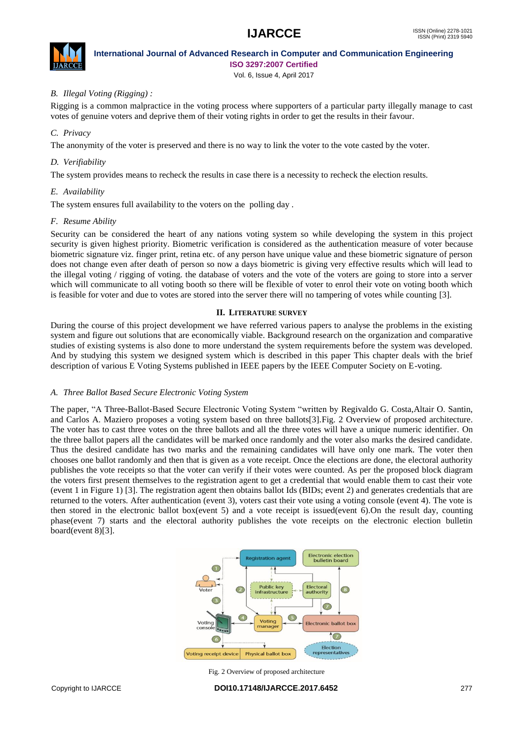

Vol. 6, Issue 4, April 2017

# *B. Illegal Voting (Rigging) :*

Rigging is a common malpractice in the voting process where supporters of a particular party illegally manage to cast votes of genuine voters and deprive them of their voting rights in order to get the results in their favour.

# *C. Privacy*

The anonymity of the voter is preserved and there is no way to link the voter to the vote casted by the voter.

# *D. Verifiability*

The system provides means to recheck the results in case there is a necessity to recheck the election results.

# *E. Availability*

The system ensures full availability to the voters on the polling day .

# *F. Resume Ability*

Security can be considered the heart of any nations voting system so while developing the system in this project security is given highest priority. Biometric verification is considered as the authentication measure of voter because biometric signature viz. finger print, retina etc. of any person have unique value and these biometric signature of person does not change even after death of person so now a days biometric is giving very effective results which will lead to the illegal voting / rigging of voting. the database of voters and the vote of the voters are going to store into a server which will communicate to all voting booth so there will be flexible of voter to enrol their vote on voting booth which is feasible for voter and due to votes are stored into the server there will no tampering of votes while counting [3].

# **II. LITERATURE SURVEY**

During the course of this project development we have referred various papers to analyse the problems in the existing system and figure out solutions that are economically viable. Background research on the organization and comparative studies of existing systems is also done to more understand the system requirements before the system was developed. And by studying this system we designed system which is described in this paper This chapter deals with the brief description of various E Voting Systems published in IEEE papers by the IEEE Computer Society on E-voting.

# *A. Three Ballot Based Secure Electronic Voting System*

The paper, "A Three-Ballot-Based Secure Electronic Voting System "written by Regivaldo G. Costa,Altair O. Santin, and Carlos A. Maziero proposes a voting system based on three ballots[3].Fig. 2 Overview of proposed architecture. The voter has to cast three votes on the three ballots and all the three votes will have a unique numeric identifier. On the three ballot papers all the candidates will be marked once randomly and the voter also marks the desired candidate. Thus the desired candidate has two marks and the remaining candidates will have only one mark. The voter then chooses one ballot randomly and then that is given as a vote receipt. Once the elections are done, the electoral authority publishes the vote receipts so that the voter can verify if their votes were counted. As per the proposed block diagram the voters first present themselves to the registration agent to get a credential that would enable them to cast their vote (event 1 in Figure 1) [3]. The registration agent then obtains ballot Ids (BIDs; event 2) and generates credentials that are returned to the voters. After authentication (event 3), voters cast their vote using a voting console (event 4). The vote is then stored in the electronic ballot box(event 5) and a vote receipt is issued(event 6).On the result day, counting phase(event 7) starts and the electoral authority publishes the vote receipts on the electronic election bulletin board(event 8)[3].



Fig. 2 Overview of proposed architecture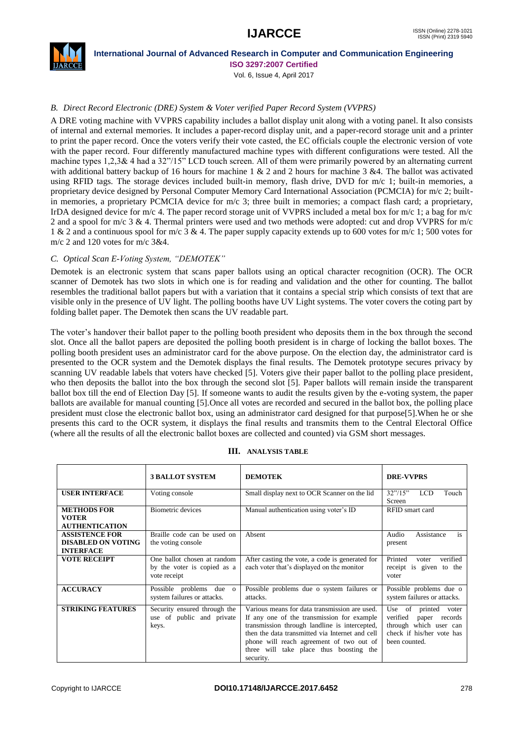

Vol. 6, Issue 4, April 2017

# *B. Direct Record Electronic (DRE) System & Voter verified Paper Record System (VVPRS)*

A DRE voting machine with VVPRS capability includes a ballot display unit along with a voting panel. It also consists of internal and external memories. It includes a paper-record display unit, and a paper-record storage unit and a printer to print the paper record. Once the voters verify their vote casted, the EC officials couple the electronic version of vote with the paper record. Four differently manufactured machine types with different configurations were tested. All the machine types 1,2,3& 4 had a 32"/15" LCD touch screen. All of them were primarily powered by an alternating current with additional battery backup of 16 hours for machine 1  $\&$  2 and 2 hours for machine 3  $\&$ 4. The ballot was activated using RFID tags. The storage devices included built-in memory, flash drive, DVD for m/c 1; built-in memories, a proprietary device designed by Personal Computer Memory Card International Association (PCMCIA) for m/c 2; builtin memories, a proprietary PCMCIA device for m/c 3; three built in memories; a compact flash card; a proprietary, IrDA designed device for m/c 4. The paper record storage unit of VVPRS included a metal box for m/c 1; a bag for m/c 2 and a spool for m/c 3 & 4. Thermal printers were used and two methods were adopted: cut and drop VVPRS for m/c 1 & 2 and a continuous spool for m/c 3 & 4. The paper supply capacity extends up to 600 votes for m/c 1; 500 votes for m/c 2 and 120 votes for m/c 3&4.

# *C. Optical Scan E-Voting System, "DEMOTEK"*

Demotek is an electronic system that scans paper ballots using an optical character recognition (OCR). The OCR scanner of Demotek has two slots in which one is for reading and validation and the other for counting. The ballot resembles the traditional ballot papers but with a variation that it contains a special strip which consists of text that are visible only in the presence of UV light. The polling booths have UV Light systems. The voter covers the coting part by folding ballet paper. The Demotek then scans the UV readable part.

The voter's handover their ballot paper to the polling booth president who deposits them in the box through the second slot. Once all the ballot papers are deposited the polling booth president is in charge of locking the ballot boxes. The polling booth president uses an administrator card for the above purpose. On the election day, the administrator card is presented to the OCR system and the Demotek displays the final results. The Demotek prototype secures privacy by scanning UV readable labels that voters have checked [5]. Voters give their paper ballot to the polling place president, who then deposits the ballot into the box through the second slot [5]. Paper ballots will remain inside the transparent ballot box till the end of Election Day [5]. If someone wants to audit the results given by the e-voting system, the paper ballots are available for manual counting [5].Once all votes are recorded and secured in the ballot box, the polling place president must close the electronic ballot box, using an administrator card designed for that purpose[5].When he or she presents this card to the OCR system, it displays the final results and transmits them to the Central Electoral Office (where all the results of all the electronic ballot boxes are collected and counted) via GSM short messages.

|                                                                        | <b>3 BALLOT SYSTEM</b>                                                     | <b>DEMOTEK</b>                                                                                                                                                                                                                                                                                      | <b>DRE-VVPRS</b>                                                                                                                |
|------------------------------------------------------------------------|----------------------------------------------------------------------------|-----------------------------------------------------------------------------------------------------------------------------------------------------------------------------------------------------------------------------------------------------------------------------------------------------|---------------------------------------------------------------------------------------------------------------------------------|
| <b>USER INTERFACE</b>                                                  | Voting console                                                             | Small display next to OCR Scanner on the lid                                                                                                                                                                                                                                                        | 32''/15''<br><b>LCD</b><br>Touch<br>Screen                                                                                      |
| <b>METHODS FOR</b><br><b>VOTER</b><br><b>AUTHENTICATION</b>            | <b>Biometric devices</b>                                                   | Manual authentication using voter's ID                                                                                                                                                                                                                                                              | RFID smart card                                                                                                                 |
| <b>ASSISTENCE FOR</b><br><b>DISABLED ON VOTING</b><br><b>INTERFACE</b> | Braille code can be used on<br>the voting console                          | Absent                                                                                                                                                                                                                                                                                              | Audio<br>Assistance<br>is<br>present                                                                                            |
| <b>VOTE RECEIPT</b>                                                    | One ballot chosen at random<br>by the voter is copied as a<br>vote receipt | After casting the vote, a code is generated for<br>each voter that's displayed on the monitor                                                                                                                                                                                                       | verified<br>Printed<br>voter<br>receipt is given to the<br>voter                                                                |
| <b>ACCURACY</b>                                                        | Possible problems<br>due<br>$\Omega$<br>system failures or attacks.        | Possible problems due o system failures or<br>attacks.                                                                                                                                                                                                                                              | Possible problems due o<br>system failures or attacks.                                                                          |
| <b>STRIKING FEATURES</b>                                               | Security ensured through the<br>use of public and private<br>keys.         | Various means for data transmission are used.<br>If any one of the transmission for example<br>transmission through landline is intercepted,<br>then the data transmitted via Internet and cell<br>phone will reach agreement of two out of<br>three will take place thus boosting the<br>security. | Use of printed<br>voter<br>verified<br>records<br>paper<br>through which user can<br>check if his/her vote has<br>been counted. |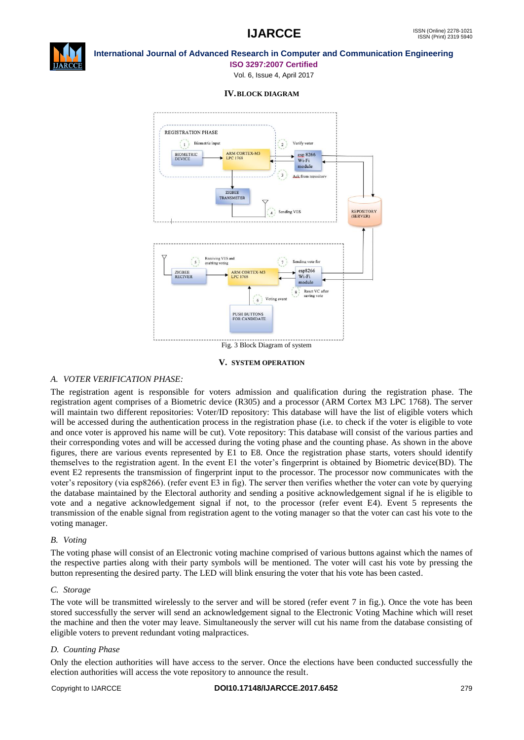

Vol. 6, Issue 4, April 2017

# **IV.BLOCK DIAGRAM**



## **V. SYSTEM OPERATION**

# *A. VOTER VERIFICATION PHASE:*

The registration agent is responsible for voters admission and qualification during the registration phase. The registration agent comprises of a Biometric device (R305) and a processor (ARM Cortex M3 LPC 1768). The server will maintain two different repositories: Voter/ID repository: This database will have the list of eligible voters which will be accessed during the authentication process in the registration phase (i.e. to check if the voter is eligible to vote and once voter is approved his name will be cut). Vote repository: This database will consist of the various parties and their corresponding votes and will be accessed during the voting phase and the counting phase. As shown in the above figures, there are various events represented by E1 to E8. Once the registration phase starts, voters should identify themselves to the registration agent. In the event E1 the voter's fingerprint is obtained by Biometric device(BD). The event E2 represents the transmission of fingerprint input to the processor. The processor now communicates with the voter's repository (via esp8266). (refer event E3 in fig). The server then verifies whether the voter can vote by querying the database maintained by the Electoral authority and sending a positive acknowledgement signal if he is eligible to vote and a negative acknowledgement signal if not, to the processor (refer event E4). Event 5 represents the transmission of the enable signal from registration agent to the voting manager so that the voter can cast his vote to the voting manager.

# *B. Voting*

The voting phase will consist of an Electronic voting machine comprised of various buttons against which the names of the respective parties along with their party symbols will be mentioned. The voter will cast his vote by pressing the button representing the desired party. The LED will blink ensuring the voter that his vote has been casted.

### *C. Storage*

The vote will be transmitted wirelessly to the server and will be stored (refer event 7 in fig.). Once the vote has been stored successfully the server will send an acknowledgement signal to the Electronic Voting Machine which will reset the machine and then the voter may leave. Simultaneously the server will cut his name from the database consisting of eligible voters to prevent redundant voting malpractices.

# *D. Counting Phase*

Only the election authorities will have access to the server. Once the elections have been conducted successfully the election authorities will access the vote repository to announce the result.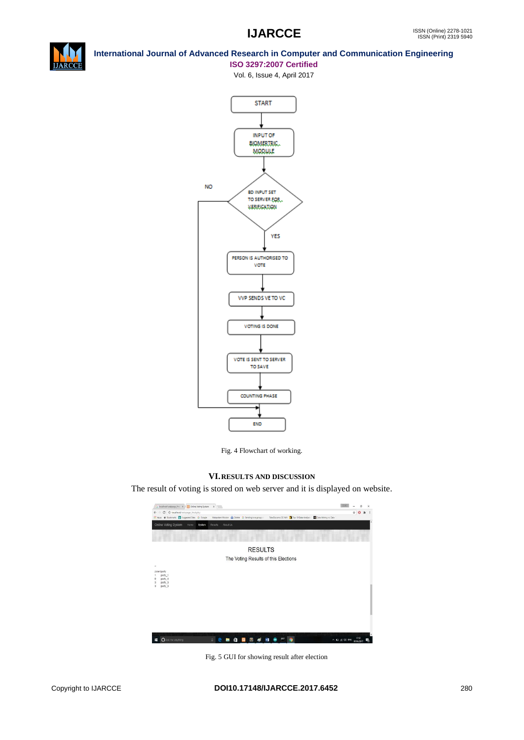



Vol. 6, Issue 4, April 2017



Fig. 4 Flowchart of working.

# **VI.RESULTS AND DISCUSSION**

The result of voting is stored on web server and it is displayed on website.



Fig. 5 GUI for showing result after election